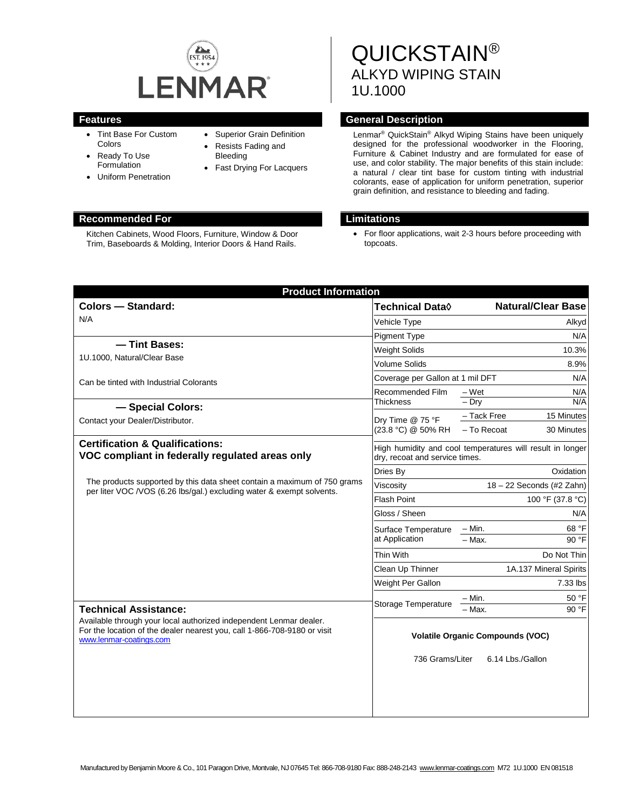

- Tint Base For Custom Colors
- Ready To Use Formulation
- Uniform Penetration
- Superior Grain Definition
- Resists Fading and Bleeding
- Fast Drying For Lacquers

#### **Recommended For Limitations**

Kitchen Cabinets, Wood Floors, Furniture, Window & Door Trim, Baseboards & Molding, Interior Doors & Hand Rails.

# QUICKSTAIN® ALKYD WIPING STAIN 1U.1000

#### **Features General Description**

Lenmar ® QuickStain® Alkyd Wiping Stains have been uniquely designed for the professional woodworker in the Flooring, Furniture & Cabinet Industry and are formulated for ease of use, and color stability. The major benefits of this stain include: a natural / clear tint base for custom tinting with industrial colorants, ease of application for uniform penetration, superior grain definition, and resistance to bleeding and fading.

• For floor applications, wait 2-3 hours before proceeding with topcoats.

| <b>Product Information</b>                                                                                                                                                                                |                                                                                             |                           |
|-----------------------------------------------------------------------------------------------------------------------------------------------------------------------------------------------------------|---------------------------------------------------------------------------------------------|---------------------------|
| <b>Colors - Standard:</b>                                                                                                                                                                                 | Technical Data <b>◊</b>                                                                     | <b>Natural/Clear Base</b> |
| N/A                                                                                                                                                                                                       | Vehicle Type                                                                                | Alkyd                     |
|                                                                                                                                                                                                           | <b>Pigment Type</b>                                                                         | N/A                       |
| - Tint Bases:                                                                                                                                                                                             | <b>Weight Solids</b>                                                                        | 10.3%                     |
| 1U.1000, Natural/Clear Base                                                                                                                                                                               | <b>Volume Solids</b>                                                                        | 8.9%                      |
| Can be tinted with Industrial Colorants                                                                                                                                                                   | Coverage per Gallon at 1 mil DFT<br>N/A                                                     |                           |
| - Special Colors:                                                                                                                                                                                         | Recommended Film<br><b>Thickness</b>                                                        | $-Wet$<br>N/A             |
|                                                                                                                                                                                                           |                                                                                             | N/A<br>$-$ Dry            |
| Contact your Dealer/Distributor.                                                                                                                                                                          | Dry Time @ 75 °F<br>(23.8 °C) @ 50% RH                                                      | - Tack Free<br>15 Minutes |
|                                                                                                                                                                                                           |                                                                                             | - To Recoat<br>30 Minutes |
| <b>Certification &amp; Qualifications:</b><br>VOC compliant in federally regulated areas only                                                                                                             | High humidity and cool temperatures will result in longer<br>dry, recoat and service times. |                           |
|                                                                                                                                                                                                           | Dries By                                                                                    | Oxidation                 |
| The products supported by this data sheet contain a maximum of 750 grams<br>per liter VOC / VOS (6.26 lbs/gal.) excluding water & exempt solvents.                                                        | Viscosity                                                                                   | 18 - 22 Seconds (#2 Zahn) |
|                                                                                                                                                                                                           | <b>Flash Point</b>                                                                          | 100 °F (37.8 °C)          |
|                                                                                                                                                                                                           | Gloss / Sheen                                                                               | N/A                       |
|                                                                                                                                                                                                           | Surface Temperature<br>at Application                                                       | – Min.<br>68 °F           |
|                                                                                                                                                                                                           |                                                                                             | 90 °F<br>$-$ Max.         |
|                                                                                                                                                                                                           | Thin With                                                                                   | Do Not Thin               |
|                                                                                                                                                                                                           | Clean Up Thinner                                                                            | 1A.137 Mineral Spirits    |
|                                                                                                                                                                                                           | Weight Per Gallon                                                                           | 7.33 lbs                  |
|                                                                                                                                                                                                           | Storage Temperature                                                                         | $-$ Min.<br>50 °F         |
| <b>Technical Assistance:</b><br>Available through your local authorized independent Lenmar dealer.<br>For the location of the dealer nearest you, call 1-866-708-9180 or visit<br>www.lenmar-coatings.com |                                                                                             | - Max.<br>90 °F           |
|                                                                                                                                                                                                           | <b>Volatile Organic Compounds (VOC)</b>                                                     |                           |
|                                                                                                                                                                                                           | 736 Grams/Liter<br>6.14 Lbs./Gallon                                                         |                           |
|                                                                                                                                                                                                           |                                                                                             |                           |